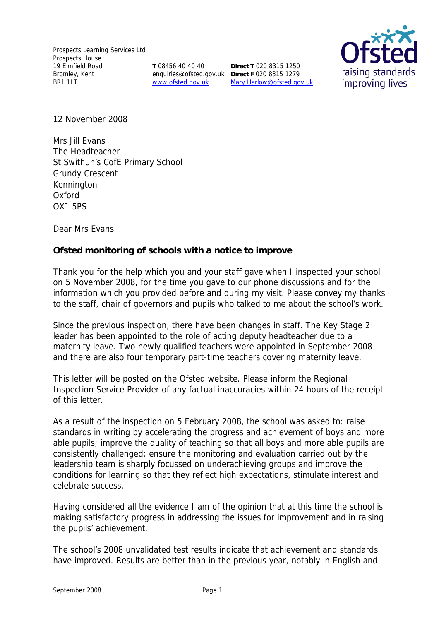**T** 08456 40 40 40 enquiries@ofsted.gov.uk **Direct F** 020 8315 1279 www.ofsted.gov.uk

**Direct T** 020 8315 1250 Mary.Harlow@ofsted.gov.uk



12 November 2008

Mrs Jill Evans The Headteacher St Swithun's CofE Primary School Grundy Crescent **Kennington** Oxford OX1 5PS

Dear Mrs Evans

**Ofsted monitoring of schools with a notice to improve**

Thank you for the help which you and your staff gave when I inspected your school on 5 November 2008, for the time you gave to our phone discussions and for the information which you provided before and during my visit. Please convey my thanks to the staff, chair of governors and pupils who talked to me about the school's work.

Since the previous inspection, there have been changes in staff. The Key Stage 2 leader has been appointed to the role of acting deputy headteacher due to a maternity leave. Two newly qualified teachers were appointed in September 2008 and there are also four temporary part-time teachers covering maternity leave.

This letter will be posted on the Ofsted website. Please inform the Regional Inspection Service Provider of any factual inaccuracies within 24 hours of the receipt of this letter.

As a result of the inspection on 5 February 2008, the school was asked to: raise standards in writing by accelerating the progress and achievement of boys and more able pupils; improve the quality of teaching so that all boys and more able pupils are consistently challenged; ensure the monitoring and evaluation carried out by the leadership team is sharply focussed on underachieving groups and improve the conditions for learning so that they reflect high expectations, stimulate interest and celebrate success.

Having considered all the evidence I am of the opinion that at this time the school is making satisfactory progress in addressing the issues for improvement and in raising the pupils' achievement.

The school's 2008 unvalidated test results indicate that achievement and standards have improved. Results are better than in the previous year, notably in English and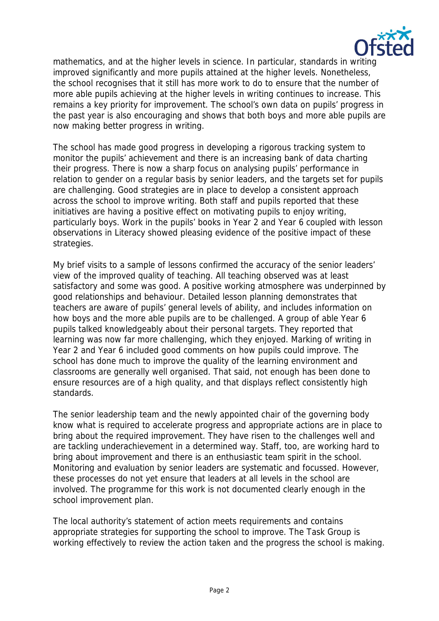

mathematics, and at the higher levels in science. In particular, standards in writing improved significantly and more pupils attained at the higher levels. Nonetheless, the school recognises that it still has more work to do to ensure that the number of more able pupils achieving at the higher levels in writing continues to increase. This remains a key priority for improvement. The school's own data on pupils' progress in the past year is also encouraging and shows that both boys and more able pupils are now making better progress in writing.

The school has made good progress in developing a rigorous tracking system to monitor the pupils' achievement and there is an increasing bank of data charting their progress. There is now a sharp focus on analysing pupils' performance in relation to gender on a regular basis by senior leaders, and the targets set for pupils are challenging. Good strategies are in place to develop a consistent approach across the school to improve writing. Both staff and pupils reported that these initiatives are having a positive effect on motivating pupils to enjoy writing, particularly boys. Work in the pupils' books in Year 2 and Year 6 coupled with lesson observations in Literacy showed pleasing evidence of the positive impact of these strategies.

My brief visits to a sample of lessons confirmed the accuracy of the senior leaders' view of the improved quality of teaching. All teaching observed was at least satisfactory and some was good. A positive working atmosphere was underpinned by good relationships and behaviour. Detailed lesson planning demonstrates that teachers are aware of pupils' general levels of ability, and includes information on how boys and the more able pupils are to be challenged. A group of able Year 6 pupils talked knowledgeably about their personal targets. They reported that learning was now far more challenging, which they enjoyed. Marking of writing in Year 2 and Year 6 included good comments on how pupils could improve. The school has done much to improve the quality of the learning environment and classrooms are generally well organised. That said, not enough has been done to ensure resources are of a high quality, and that displays reflect consistently high standards.

The senior leadership team and the newly appointed chair of the governing body know what is required to accelerate progress and appropriate actions are in place to bring about the required improvement. They have risen to the challenges well and are tackling underachievement in a determined way. Staff, too, are working hard to bring about improvement and there is an enthusiastic team spirit in the school. Monitoring and evaluation by senior leaders are systematic and focussed. However, these processes do not yet ensure that leaders at all levels in the school are involved. The programme for this work is not documented clearly enough in the school improvement plan.

The local authority's statement of action meets requirements and contains appropriate strategies for supporting the school to improve. The Task Group is working effectively to review the action taken and the progress the school is making.